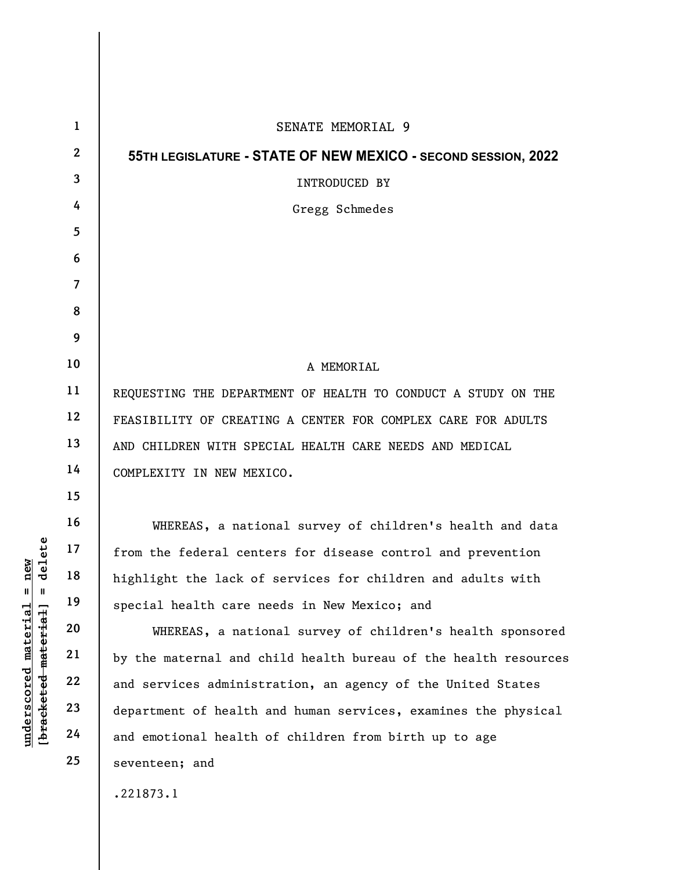|                                                                                          | $\mathbf{1}$            | SENATE MEMORIAL 9                                               |
|------------------------------------------------------------------------------------------|-------------------------|-----------------------------------------------------------------|
|                                                                                          | $\mathbf{2}$            | 55TH LEGISLATURE - STATE OF NEW MEXICO - SECOND SESSION, 2022   |
|                                                                                          | 3                       | INTRODUCED BY                                                   |
|                                                                                          | 4                       | Gregg Schmedes                                                  |
|                                                                                          | 5                       |                                                                 |
|                                                                                          | 6                       |                                                                 |
|                                                                                          | $\overline{\mathbf{7}}$ |                                                                 |
|                                                                                          | 8                       |                                                                 |
|                                                                                          | 9                       |                                                                 |
|                                                                                          | 10                      | A MEMORIAL                                                      |
|                                                                                          | 11                      | REQUESTING THE DEPARTMENT OF HEALTH TO CONDUCT A STUDY ON THE   |
|                                                                                          | 12                      | FEASIBILITY OF CREATING A CENTER FOR COMPLEX CARE FOR ADULTS    |
|                                                                                          | 13                      | AND CHILDREN WITH SPECIAL HEALTH CARE NEEDS AND MEDICAL         |
| delete<br>new<br>$^{\mathsf{II}}$<br>Ш<br>[bracketed-material]<br>$underscored$ material | 14                      | COMPLEXITY IN NEW MEXICO.                                       |
|                                                                                          | 15                      |                                                                 |
|                                                                                          | 16                      | WHEREAS, a national survey of children's health and data        |
|                                                                                          | 17                      | from the federal centers for disease control and prevention     |
|                                                                                          | 18                      | highlight the lack of services for children and adults with     |
|                                                                                          | 19                      | special health care needs in New Mexico; and                    |
|                                                                                          | 20                      | WHEREAS, a national survey of children's health sponsored       |
|                                                                                          | 21                      | by the maternal and child health bureau of the health resources |
|                                                                                          | 22                      | and services administration, an agency of the United States     |
|                                                                                          | 23                      | department of health and human services, examines the physical  |
|                                                                                          | 24                      | and emotional health of children from birth up to age           |
|                                                                                          | 25                      | seventeen; and                                                  |
|                                                                                          |                         | .221873.1                                                       |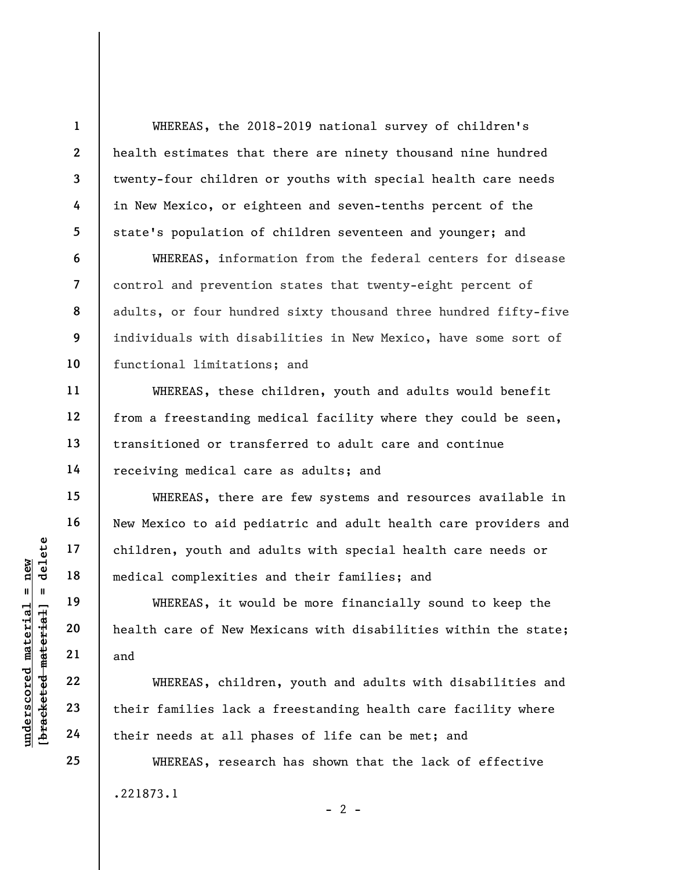WHEREAS, the 2018-2019 national survey of children's health estimates that there are ninety thousand nine hundred twenty-four children or youths with special health care needs in New Mexico, or eighteen and seven-tenths percent of the state's population of children seventeen and younger; and

WHEREAS, information from the federal centers for disease control and prevention states that twenty-eight percent of adults, or four hundred sixty thousand three hundred fifty-five individuals with disabilities in New Mexico, have some sort of functional limitations; and

WHEREAS, these children, youth and adults would benefit from a freestanding medical facility where they could be seen, transitioned or transferred to adult care and continue receiving medical care as adults; and

WHEREAS, there are few systems and resources available in New Mexico to aid pediatric and adult health care providers and children, youth and adults with special health care needs or medical complexities and their families; and

WHEREAS, it would be more financially sound to keep the health care of New Mexicans with disabilities within the state; and

UNEREAS, it would be also their families and their needs at all ph<br>
whereas, it would be alth care of New Me<br>
whereas, it would be alth care of New Me<br>
whereas, children<br>
23<br>
their families lack a<br>
their needs at all ph WHEREAS, children, youth and adults with disabilities and their families lack a freestanding health care facility where their needs at all phases of life can be met; and

> WHEREAS, research has shown that the lack of effective .221873.1  $- 2 -$

1

2

3

4

5

6

7

8

9

10

11

12

13

14

15

16

17

18

19

20

21

22

23

24

25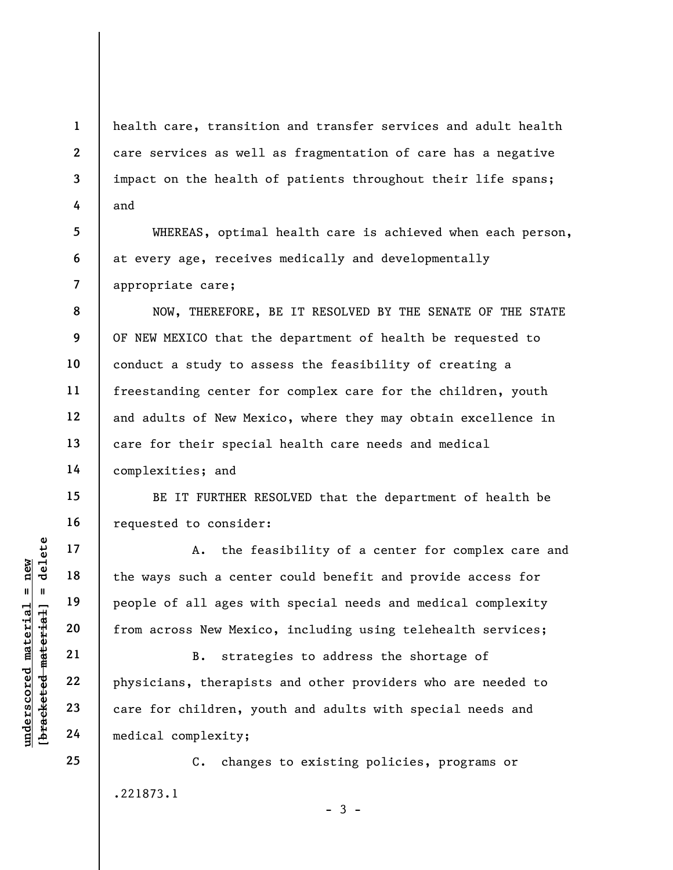health care, transition and transfer services and adult health care services as well as fragmentation of care has a negative impact on the health of patients throughout their life spans; and

WHEREAS, optimal health care is achieved when each person, at every age, receives medically and developmentally appropriate care;

NOW, THEREFORE, BE IT RESOLVED BY THE SENATE OF THE STATE OF NEW MEXICO that the department of health be requested to conduct a study to assess the feasibility of creating a freestanding center for complex care for the children, youth and adults of New Mexico, where they may obtain excellence in care for their special health care needs and medical complexities; and

BE IT FURTHER RESOLVED that the department of health be requested to consider:

underscored material material end of all ages with the ways such a center of all ages with the ways such a center of all ages with the ways such a center of all ages with the people of all ages with the people of all ages A. the feasibility of a center for complex care and the ways such a center could benefit and provide access for people of all ages with special needs and medical complexity from across New Mexico, including using telehealth services;

B. strategies to address the shortage of physicians, therapists and other providers who are needed to care for children, youth and adults with special needs and medical complexity;

C. changes to existing policies, programs or .221873.1

 $-3 -$ 

1

2

3

4

5

6

7

8

9

10

11

12

13

14

15

16

17

18

19

20

21

22

23

24

25